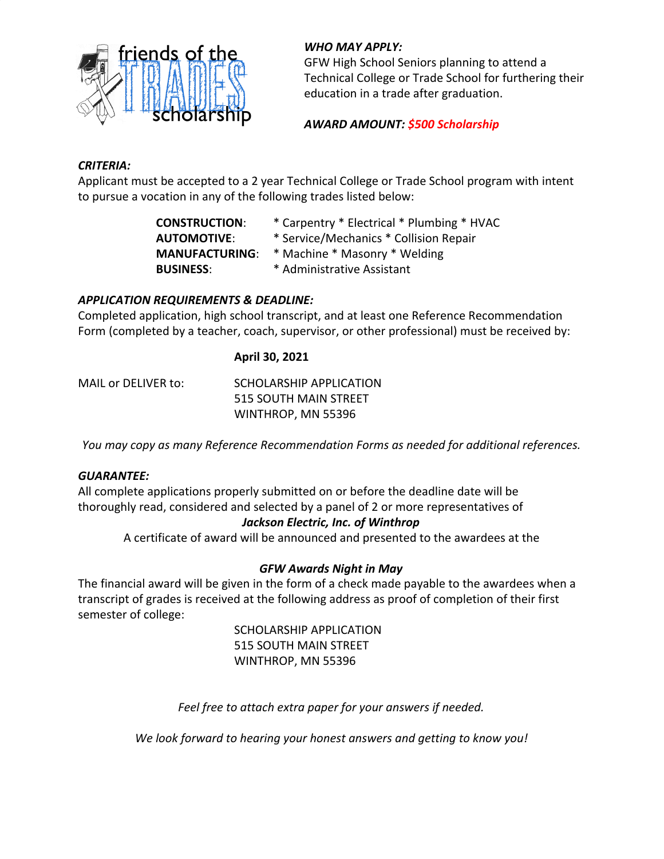

## *WHO MAY APPLY:*

GFW High School Seniors planning to attend a Technical College or Trade School for furthering their education in a trade after graduation.

## *AWARD AMOUNT: \$500 Scholarship*

## *CRITERIA:*

Applicant must be accepted to a 2 year Technical College or Trade School program with intent to pursue a vocation in any of the following trades listed below:

| <b>CONSTRUCTION:</b>  | * Carpentry * Electrical * Plumbing * HVAC |  |  |
|-----------------------|--------------------------------------------|--|--|
| <b>AUTOMOTIVE:</b>    | * Service/Mechanics * Collision Repair     |  |  |
| <b>MANUFACTURING:</b> | * Machine * Masonry * Welding              |  |  |
| <b>BUSINESS:</b>      | * Administrative Assistant                 |  |  |

## *APPLICATION REQUIREMENTS & DEADLINE:*

Completed application, high school transcript, and at least one Reference Recommendation Form (completed by a teacher, coach, supervisor, or other professional) must be received by:

#### **April 30, 2021**

MAIL or DELIVER to: SCHOLARSHIP APPLICATION 515 SOUTH MAIN STREET WINTHROP, MN 55396

*You may copy as many Reference Recommendation Forms as needed for additional references.*

#### *GUARANTEE:*

All complete applications properly submitted on or before the deadline date will be thoroughly read, considered and selected by a panel of 2 or more representatives of

## *Jackson Electric, Inc. of Winthrop*

A certificate of award will be announced and presented to the awardees at the

## *GFW Awards Night in May*

The financial award will be given in the form of a check made payable to the awardees when a transcript of grades is received at the following address as proof of completion of their first semester of college:

> SCHOLARSHIP APPLICATION 515 SOUTH MAIN STREET WINTHROP, MN 55396

*Feel free to attach extra paper for your answers if needed.*

*We look forward to hearing your honest answers and getting to know you!*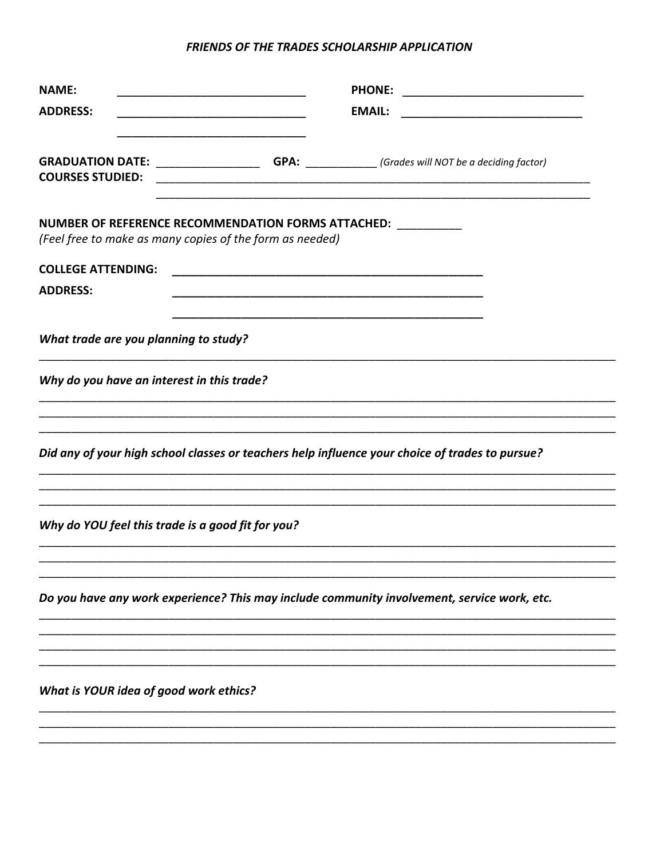#### FRIENDS OF THE TRADES SCHOLARSHIP APPLICATION

| <b>NAME:</b><br><b>ADDRESS:</b>                                                                                                      | <u> 1990 - Johann John Stone, mars et al. (</u> | <b>EMAIL:</b>                                                                                                         |  |
|--------------------------------------------------------------------------------------------------------------------------------------|-------------------------------------------------|-----------------------------------------------------------------------------------------------------------------------|--|
| <b>GRADUATION DATE:</b> ________________________GPA: ______________(Grades will NOT be a deciding factor)<br><b>COURSES STUDIED:</b> |                                                 | <u> 1989 - Johann Stoff, deutscher Stoff, der Stoff, der Stoff, der Stoff, der Stoff, der Stoff, der Stoff, der S</u> |  |
| NUMBER OF REFERENCE RECOMMENDATION FORMS ATTACHED: ___________<br>(Feel free to make as many copies of the form as needed)           |                                                 |                                                                                                                       |  |
| <b>COLLEGE ATTENDING:</b><br><b>ADDRESS:</b>                                                                                         |                                                 |                                                                                                                       |  |
| What trade are you planning to study?                                                                                                |                                                 |                                                                                                                       |  |
| Why do you have an interest in this trade?                                                                                           |                                                 |                                                                                                                       |  |
| Did any of your high school classes or teachers help influence your choice of trades to pursue?                                      |                                                 |                                                                                                                       |  |
| Why do YOU feel this trade is a good fit for you?                                                                                    |                                                 |                                                                                                                       |  |
| Do you have any work experience? This may include community involvement, service work, etc.                                          |                                                 |                                                                                                                       |  |
|                                                                                                                                      |                                                 |                                                                                                                       |  |
| What is YOUR idea of good work ethics?                                                                                               |                                                 |                                                                                                                       |  |
|                                                                                                                                      |                                                 |                                                                                                                       |  |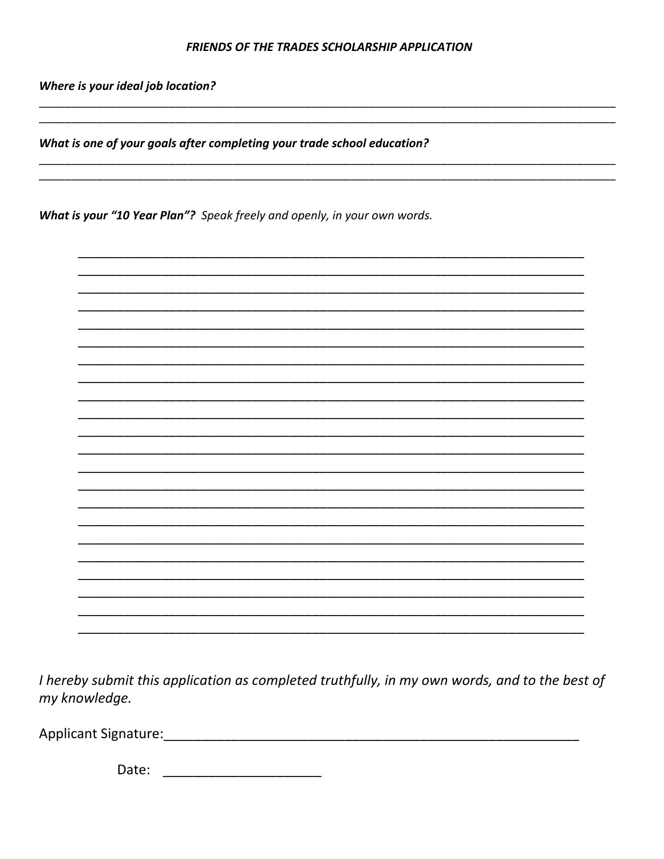#### FRIENDS OF THE TRADES SCHOLARSHIP APPLICATION

Where is your ideal job location?

What is one of your goals after completing your trade school education?

What is your "10 Year Plan"? Speak freely and openly, in your own words.



I hereby submit this application as completed truthfully, in my own words, and to the best of my knowledge.